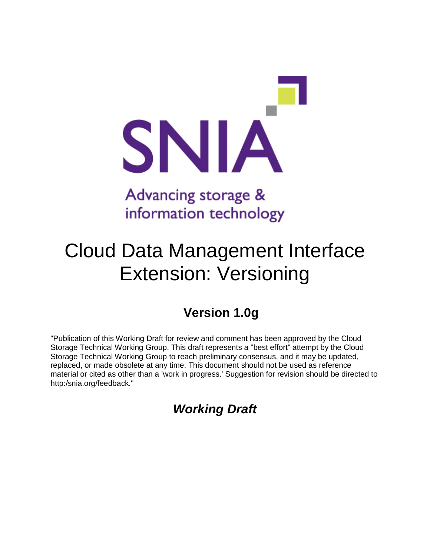

# Advancing storage & information technology

# Cloud Data Management Interface Extension: Versioning

# **Version 1.0g**

"Publication of this Working Draft for review and comment has been approved by the Cloud Storage Technical Working Group. This draft represents a "best effort" attempt by the Cloud Storage Technical Working Group to reach preliminary consensus, and it may be updated, replaced, or made obsolete at any time. This document should not be used as reference material or cited as other than a 'work in progress.' Suggestion for revision should be directed to http:/snia.org/feedback."

# *Working Draft*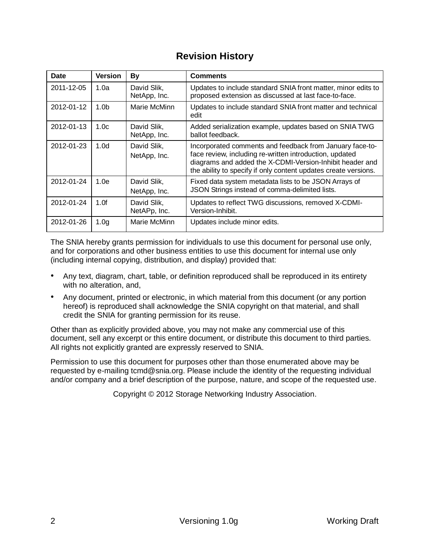# **Revision History**

| <b>Date</b> | <b>Version</b>   | By                          | <b>Comments</b>                                                                                                                                                                                                                                    |  |
|-------------|------------------|-----------------------------|----------------------------------------------------------------------------------------------------------------------------------------------------------------------------------------------------------------------------------------------------|--|
| 2011-12-05  | 1.0a             | David Slik,<br>NetApp, Inc. | Updates to include standard SNIA front matter, minor edits to<br>proposed extension as discussed at last face-to-face.                                                                                                                             |  |
| 2012-01-12  | 1.0 <sub>b</sub> | Marie McMinn                | Updates to include standard SNIA front matter and technical<br>edit                                                                                                                                                                                |  |
| 2012-01-13  | 1.0 <sub>c</sub> | David Slik,<br>NetApp, Inc. | Added serialization example, updates based on SNIA TWG<br>ballot feedback.                                                                                                                                                                         |  |
| 2012-01-23  | 1.0 <sub>d</sub> | David Slik,<br>NetApp, Inc. | Incorporated comments and feedback from January face-to-<br>face review, including re-written introduction, updated<br>diagrams and added the X-CDMI-Version-Inhibit header and<br>the ability to specify if only content updates create versions. |  |
| 2012-01-24  | 1.0e             | David Slik.<br>NetApp, Inc. | Fixed data system metadata lists to be JSON Arrays of<br>JSON Strings instead of comma-delimited lists.                                                                                                                                            |  |
| 2012-01-24  | 1.0f             | David Slik,<br>NetAPp, Inc. | Updates to reflect TWG discussions, removed X-CDMI-<br>Version-Inhibit.                                                                                                                                                                            |  |
| 2012-01-26  | 1.0 <sub>g</sub> | Marie McMinn                | Updates include minor edits.                                                                                                                                                                                                                       |  |

The SNIA hereby grants permission for individuals to use this document for personal use only, and for corporations and other business entities to use this document for internal use only (including internal copying, distribution, and display) provided that:

- Any text, diagram, chart, table, or definition reproduced shall be reproduced in its entirety with no alteration, and,
- Any document, printed or electronic, in which material from this document (or any portion hereof) is reproduced shall acknowledge the SNIA copyright on that material, and shall credit the SNIA for granting permission for its reuse.

Other than as explicitly provided above, you may not make any commercial use of this document, sell any excerpt or this entire document, or distribute this document to third parties. All rights not explicitly granted are expressly reserved to SNIA.

Permission to use this document for purposes other than those enumerated above may be requested by e-mailing tcmd@snia.org. Please include the identity of the requesting individual and/or company and a brief description of the purpose, nature, and scope of the requested use.

Copyright © 2012 Storage Networking Industry Association.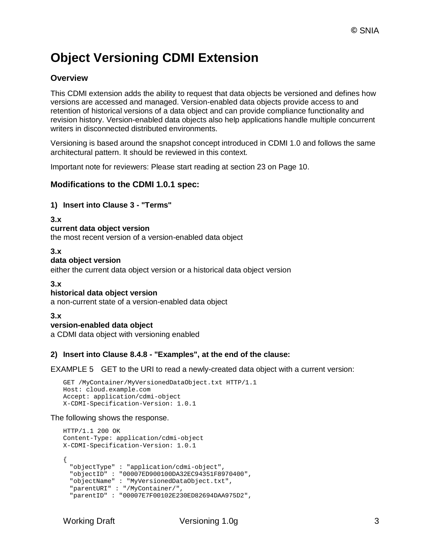# **Object Versioning CDMI Extension**

# **Overview**

This CDMI extension adds the ability to request that data objects be versioned and defines how versions are accessed and managed. Version-enabled data objects provide access to and retention of historical versions of a data object and can provide compliance functionality and revision history. Version-enabled data objects also help applications handle multiple concurrent writers in disconnected distributed environments.

Versioning is based around the snapshot concept introduced in CDMI 1.0 and follows the same architectural pattern. It should be reviewed in this context.

Important note for reviewers: Please start reading at section 23 on Page 10.

### **Modifications to the CDMI 1.0.1 spec:**

#### **1) Insert into Clause 3 - "Terms"**

**3.x current data object version** the most recent version of a version-enabled data object

#### **3.x**

#### **data object version**

either the current data object version or a historical data object version

#### **3.x**

#### **historical data object version**

a non-current state of a version-enabled data object

#### **3.x**

#### **version-enabled data object**

a CDMI data object with versioning enabled

#### **2) Insert into Clause 8.4.8 - "Examples", at the end of the clause:**

EXAMPLE 5 GET to the URI to read a newly-created data object with a current version:

```
GET /MyContainer/MyVersionedDataObject.txt HTTP/1.1
Host: cloud.example.com 
Accept: application/cdmi-object 
X-CDMI-Specification-Version: 1.0.1
```
#### The following shows the response.

```
HTTP/1.1 200 OK 
Content-Type: application/cdmi-object 
X-CDMI-Specification-Version: 1.0.1
{
  "objectType" : "application/cdmi-object",
  "objectID" : "00007ED900100DA32EC94351F8970400",
 "objectName" : "MyVersionedDataObject.txt",
 "parentURI" : "/MyContainer/",
  "parentID" : "00007E7F00102E230ED82694DAA975D2",
```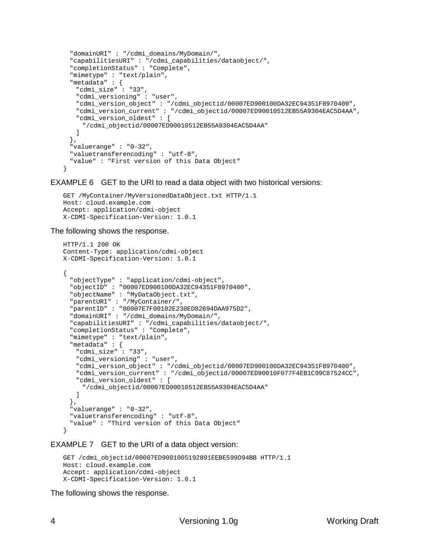```
"domainURI" : "/cdmi_domains/MyDomain/", 
 "capabilitiesURI" : "/cdmi_capabilities/dataobject/", 
 "completionStatus" : "Complete", 
 "mimetype" : "text/plain", 
 "metadata" : {
   "cdmi_size" : "33",
   "cdmi_versioning" : "user",
   "cdmi_version_object" : "/cdmi_objectid/00007ED900100DA32EC94351F8970400",
   "cdmi_version_current" : "/cdmi_objectid/00007ED90010512EB55A9304EAC5D4AA",
   "cdmi_version_oldest" : [
    "/cdmi_objectid/00007ED90010512EB55A9304EAC5D4AA"
   \mathbf{I}},
 "valuerange" : "0-32", 
 "valuetransferencoding" : "utf-8", 
 "value" : "First version of this Data Object"
}
```
EXAMPLE 6 GET to the URI to read a data object with two historical versions:

```
GET /MyContainer/MyVersionedDataObject.txt HTTP/1.1
Host: cloud.example.com 
Accept: application/cdmi-object 
X-CDMI-Specification-Version: 1.0.1
```
The following shows the response.

```
HTTP/1.1 200 OK 
Content-Type: application/cdmi-object 
X-CDMI-Specification-Version: 1.0.1
{
 "objectType" : "application/cdmi-object",
 "objectID" : "00007ED900100DA32EC94351F8970400",
 "objectName" : "MyDataObject.txt",
 "parentURI" : "/MyContainer/",
 "parentID" : "00007E7F00102E230ED82694DAA975D2", 
 "domainURI" : "/cdmi_domains/MyDomain/", 
 "capabilitiesURI" : "/cdmi_capabilities/dataobject/", 
 "completionStatus" : "Complete", 
 "mimetype" : "text/plain", 
  "metadata" : {
   "cdmi_size" : "33",
   "cdmi_versioning" : "user",
   "cdmi_version_object" : "/cdmi_objectid/00007ED900100DA32EC94351F8970400",
   "cdmi_version_current" : "/cdmi_objectid/00007ED90010F077F4EB1C99C87524CC",
   "cdmi_version_oldest" : [
     "/cdmi_objectid/00007ED90010512EB55A9304EAC5D4AA"
   ]
 },
 "valuerange" : "0-32", 
 "valuetransferencoding" : "utf-8", 
 "value" : "Third version of this Data Object"
}
```
#### EXAMPLE 7 GET to the URI of a data object version:

```
GET /cdmi_objectid/00007ED9001005192891EEBE599D94BB HTTP/1.1
Host: cloud.example.com 
Accept: application/cdmi-object 
X-CDMI-Specification-Version: 1.0.1
```
The following shows the response.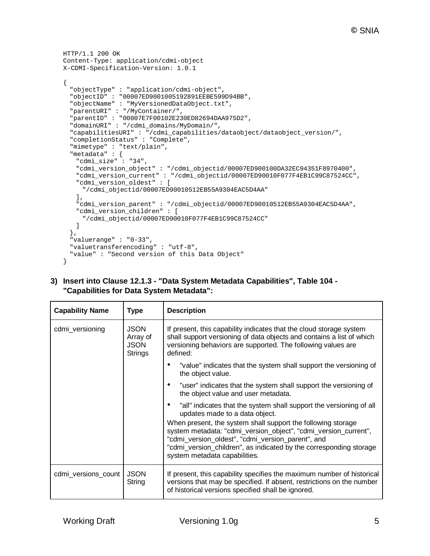```
HTTP/1.1 200 OK 
Content-Type: application/cdmi-object 
X-CDMI-Specification-Version: 1.0.1
{
 "objectType" : "application/cdmi-object",
 "objectID" : "00007ED9001005192891EEBE599D94BB",
 "objectName" : "MyVersionedDataObject.txt",
 "parentURI" : "/MyContainer/",
  "parentID" : "00007E7F00102E230ED82694DAA975D2", 
 "domainURI" : "/cdmi_domains/MyDomain/",
  "capabilitiesURI" : "/cdmi_capabilities/dataobject/dataobject_version/", 
  "completionStatus" : "Complete", 
 "mimetype" : "text/plain", 
  "metadata" : {
   "cdmi_size" : "34",
   "cdmi_version_object" : "/cdmi_objectid/00007ED900100DA32EC94351F8970400",
   "cdmi_version_current" : "/cdmi_objectid/00007ED90010F077F4EB1C99C87524CC",
   "cdmi_version_oldest" : [
     "/cdmi_objectid/00007ED90010512EB55A9304EAC5D4AA"
   ],
   "cdmi_version_parent" : "/cdmi_objectid/00007ED90010512EB55A9304EAC5D4AA",
   "cdmi_version_children" : [
     "/cdmi_objectid/00007ED90010F077F4EB1C99C87524CC"
   ]
 },
 "valuerange" : "0-33", 
 "valuetransferencoding" : "utf-8", 
 "value" : "Second version of this Data Object"
}
```

| 3) Insert into Clause 12.1.3 - "Data System Metadata Capabilities", Table 104 - |
|---------------------------------------------------------------------------------|
| "Capabilities for Data System Metadata":                                        |

| <b>Capability Name</b> | <b>Type</b>                                              | <b>Description</b>                                                                                                                                                                                                                                                                                                                                                                                   |
|------------------------|----------------------------------------------------------|------------------------------------------------------------------------------------------------------------------------------------------------------------------------------------------------------------------------------------------------------------------------------------------------------------------------------------------------------------------------------------------------------|
| cdmi_versioning        | <b>JSON</b><br>Array of<br><b>JSON</b><br><b>Strings</b> | If present, this capability indicates that the cloud storage system<br>shall support versioning of data objects and contains a list of which<br>versioning behaviors are supported. The following values are<br>defined:                                                                                                                                                                             |
|                        |                                                          | "value" indicates that the system shall support the versioning of<br>the object value.                                                                                                                                                                                                                                                                                                               |
|                        |                                                          | "user" indicates that the system shall support the versioning of<br>the object value and user metadata.                                                                                                                                                                                                                                                                                              |
|                        |                                                          | "all" indicates that the system shall support the versioning of all<br>updates made to a data object.<br>When present, the system shall support the following storage<br>system metadata: "cdmi_version_object", "cdmi_version_current",<br>"cdmi_version_oldest", "cdmi_version_parent", and<br>"cdmi_version_children", as indicated by the corresponding storage<br>system metadata capabilities. |
| cdmi_versions_count    | <b>JSON</b><br>String                                    | If present, this capability specifies the maximum number of historical<br>versions that may be specified. If absent, restrictions on the number<br>of historical versions specified shall be ignored.                                                                                                                                                                                                |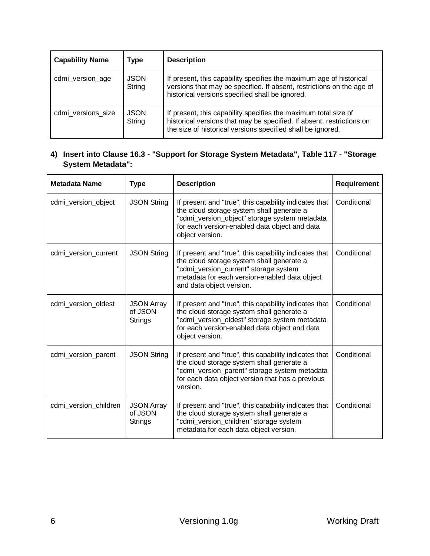| <b>Capability Name</b> | Type                  | <b>Description</b>                                                                                                                                                                                      |
|------------------------|-----------------------|---------------------------------------------------------------------------------------------------------------------------------------------------------------------------------------------------------|
| cdmi_version_age       | <b>JSON</b><br>String | If present, this capability specifies the maximum age of historical<br>versions that may be specified. If absent, restrictions on the age of<br>historical versions specified shall be ignored.         |
| cdmi versions size     | <b>JSON</b><br>String | If present, this capability specifies the maximum total size of<br>historical versions that may be specified. If absent, restrictions on<br>the size of historical versions specified shall be ignored. |

# **4) Insert into Clause 16.3 - "Support for Storage System Metadata", Table 117 - "Storage System Metadata":**

| <b>Metadata Name</b>  | <b>Type</b>                                    | <b>Description</b>                                                                                                                                                                                                       | <b>Requirement</b> |
|-----------------------|------------------------------------------------|--------------------------------------------------------------------------------------------------------------------------------------------------------------------------------------------------------------------------|--------------------|
| cdmi_version_object   | <b>JSON String</b>                             | If present and "true", this capability indicates that<br>the cloud storage system shall generate a<br>"cdmi_version_object" storage system metadata<br>for each version-enabled data object and data<br>object version.  | Conditional        |
| cdmi_version_current  | <b>JSON String</b>                             | If present and "true", this capability indicates that<br>the cloud storage system shall generate a<br>"cdmi_version_current" storage system<br>metadata for each version-enabled data object<br>and data object version. | Conditional        |
| cdmi_version_oldest   | <b>JSON Array</b><br>of JSON<br><b>Strings</b> | If present and "true", this capability indicates that<br>the cloud storage system shall generate a<br>"cdmi_version_oldest" storage system metadata<br>for each version-enabled data object and data<br>object version.  | Conditional        |
| cdmi_version_parent   | <b>JSON String</b>                             | If present and "true", this capability indicates that<br>the cloud storage system shall generate a<br>"cdmi_version_parent" storage system metadata<br>for each data object version that has a previous<br>version.      | Conditional        |
| cdmi version children | <b>JSON Array</b><br>of JSON<br><b>Strings</b> | If present and "true", this capability indicates that<br>the cloud storage system shall generate a<br>"cdmi_version_children" storage system<br>metadata for each data object version.                                   | Conditional        |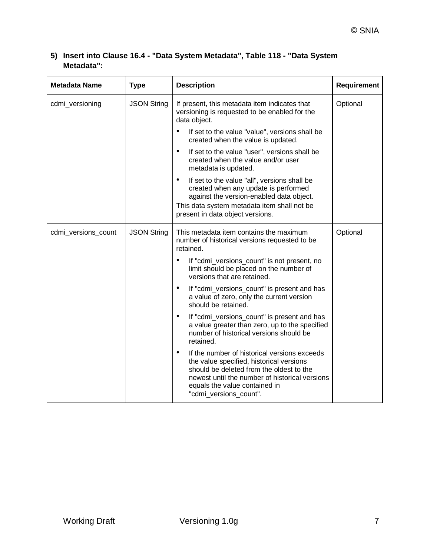# **5) Insert into Clause 16.4 - "Data System Metadata", Table 118 - "Data System Metadata":**

| <b>Metadata Name</b><br><b>Type</b> |                                                                                                                                      | <b>Description</b>                                                                                                                                                                                                                                             | Requirement |
|-------------------------------------|--------------------------------------------------------------------------------------------------------------------------------------|----------------------------------------------------------------------------------------------------------------------------------------------------------------------------------------------------------------------------------------------------------------|-------------|
| cdmi_versioning                     | <b>JSON String</b><br>If present, this metadata item indicates that<br>versioning is requested to be enabled for the<br>data object. |                                                                                                                                                                                                                                                                | Optional    |
|                                     |                                                                                                                                      | $\bullet$<br>If set to the value "value", versions shall be<br>created when the value is updated.                                                                                                                                                              |             |
|                                     |                                                                                                                                      | $\bullet$<br>If set to the value "user", versions shall be<br>created when the value and/or user<br>metadata is updated.                                                                                                                                       |             |
|                                     |                                                                                                                                      | $\bullet$<br>If set to the value "all", versions shall be<br>created when any update is performed<br>against the version-enabled data object.<br>This data system metadata item shall not be<br>present in data object versions.                               |             |
| cdmi_versions_count                 | <b>JSON String</b>                                                                                                                   | This metadata item contains the maximum<br>number of historical versions requested to be<br>retained.                                                                                                                                                          | Optional    |
|                                     |                                                                                                                                      | If "cdmi_versions_count" is not present, no<br>limit should be placed on the number of<br>versions that are retained.                                                                                                                                          |             |
|                                     |                                                                                                                                      | $\bullet$<br>If "cdmi_versions_count" is present and has<br>a value of zero, only the current version<br>should be retained.                                                                                                                                   |             |
|                                     |                                                                                                                                      | If "cdmi_versions_count" is present and has<br>a value greater than zero, up to the specified<br>number of historical versions should be<br>retained.                                                                                                          |             |
|                                     |                                                                                                                                      | $\bullet$<br>If the number of historical versions exceeds<br>the value specified, historical versions<br>should be deleted from the oldest to the<br>newest until the number of historical versions<br>equals the value contained in<br>"cdmi_versions_count". |             |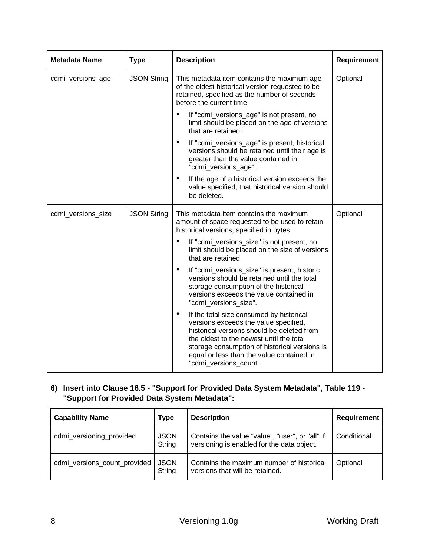| <b>Metadata Name</b> | <b>Type</b>        | <b>Description</b>                                                                                                                                                                                                                                                                                       |          |
|----------------------|--------------------|----------------------------------------------------------------------------------------------------------------------------------------------------------------------------------------------------------------------------------------------------------------------------------------------------------|----------|
| cdmi_versions_age    | <b>JSON String</b> | This metadata item contains the maximum age<br>of the oldest historical version requested to be<br>retained, specified as the number of seconds<br>before the current time.                                                                                                                              | Optional |
|                      |                    | If "cdmi_versions_age" is not present, no<br>limit should be placed on the age of versions<br>that are retained.                                                                                                                                                                                         |          |
|                      |                    | If "cdmi_versions_age" is present, historical<br>$\bullet$<br>versions should be retained until their age is<br>greater than the value contained in<br>"cdmi_versions_age".                                                                                                                              |          |
|                      |                    | If the age of a historical version exceeds the<br>٠<br>value specified, that historical version should<br>be deleted.                                                                                                                                                                                    |          |
| cdmi_versions_size   | <b>JSON String</b> | This metadata item contains the maximum<br>amount of space requested to be used to retain<br>historical versions, specified in bytes.                                                                                                                                                                    | Optional |
|                      |                    | If "cdmi_versions_size" is not present, no<br>٠<br>limit should be placed on the size of versions<br>that are retained.                                                                                                                                                                                  |          |
|                      |                    | If "cdmi_versions_size" is present, historic<br>٠<br>versions should be retained until the total<br>storage consumption of the historical<br>versions exceeds the value contained in<br>"cdmi_versions_size".                                                                                            |          |
|                      |                    | If the total size consumed by historical<br>٠<br>versions exceeds the value specified,<br>historical versions should be deleted from<br>the oldest to the newest until the total<br>storage consumption of historical versions is<br>equal or less than the value contained in<br>"cdmi_versions_count". |          |

# **6) Insert into Clause 16.5 - "Support for Provided Data System Metadata", Table 119 - "Support for Provided Data System Metadata":**

| <b>Capability Name</b>       | Type                  | <b>Description</b>                                                                            | <b>Requirement</b> |
|------------------------------|-----------------------|-----------------------------------------------------------------------------------------------|--------------------|
| cdmi_versioning_provided     | <b>JSON</b><br>String | Contains the value "value", "user", or "all" if<br>versioning is enabled for the data object. | Conditional        |
| cdmi_versions_count_provided | <b>JSON</b><br>String | Contains the maximum number of historical<br>versions that will be retained.                  | Optional           |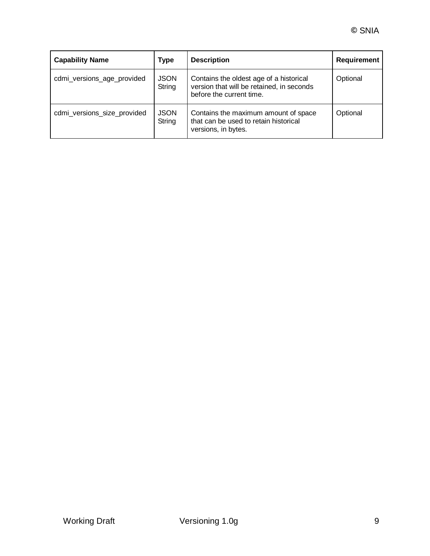| <b>Capability Name</b>      | <b>Type</b>           | <b>Description</b>                                                                                               | <b>Requirement</b> |
|-----------------------------|-----------------------|------------------------------------------------------------------------------------------------------------------|--------------------|
| cdmi_versions_age_provided  | <b>JSON</b><br>String | Contains the oldest age of a historical<br>version that will be retained, in seconds<br>before the current time. | Optional           |
| cdmi_versions_size_provided | <b>JSON</b><br>String | Contains the maximum amount of space<br>that can be used to retain historical<br>versions, in bytes.             | Optional           |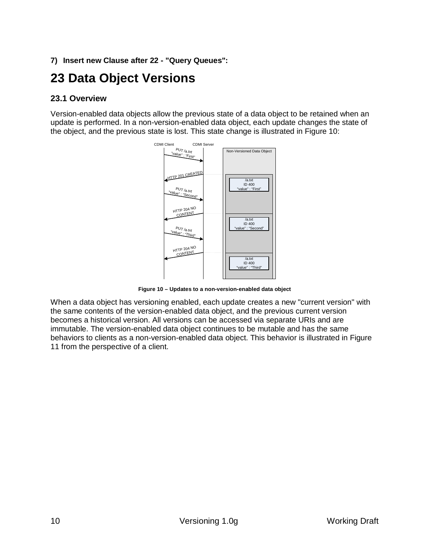# **7) Insert new Clause after 22 - "Query Queues":**

# **23 Data Object Versions**

### **23.1 Overview**

Version-enabled data objects allow the previous state of a data object to be retained when an update is performed. In a non-version-enabled data object, each update changes the state of the object, and the previous state is lost. This state change is illustrated in Figure 10:



**Figure 10 – Updates to a non-version-enabled data object**

When a data object has versioning enabled, each update creates a new "current version" with the same contents of the version-enabled data object, and the previous current version becomes a historical version. All versions can be accessed via separate URIs and are immutable. The version-enabled data object continues to be mutable and has the same behaviors to clients as a non-version-enabled data object. This behavior is illustrated in Figure 11 from the perspective of a client.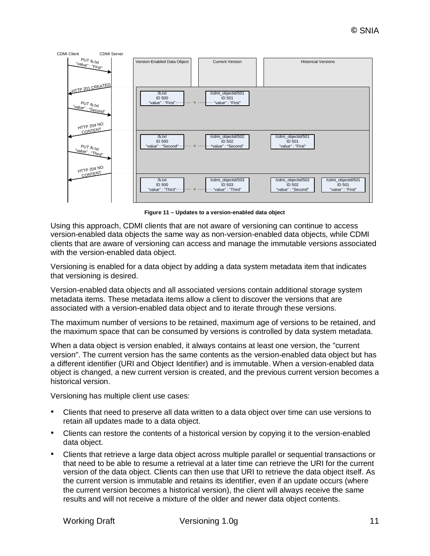

**Figure 11 – Updates to a version-enabled data object**

Using this approach, CDMI clients that are not aware of versioning can continue to access version-enabled data objects the same way as non-version-enabled data objects, while CDMI clients that are aware of versioning can access and manage the immutable versions associated with the version-enabled data object.

Versioning is enabled for a data object by adding a data system metadata item that indicates that versioning is desired.

Version-enabled data objects and all associated versions contain additional storage system metadata items. These metadata items allow a client to discover the versions that are associated with a version-enabled data object and to iterate through these versions.

The maximum number of versions to be retained, maximum age of versions to be retained, and the maximum space that can be consumed by versions is controlled by data system metadata.

When a data object is version enabled, it always contains at least one version, the "current version". The current version has the same contents as the version-enabled data object but has a different identifier (URI and Object Identifier) and is immutable. When a version-enabled data object is changed, a new current version is created, and the previous current version becomes a historical version.

Versioning has multiple client use cases:

- Clients that need to preserve all data written to a data object over time can use versions to retain all updates made to a data object.
- Clients can restore the contents of a historical version by copying it to the version-enabled data object.
- Clients that retrieve a large data object across multiple parallel or sequential transactions or that need to be able to resume a retrieval at a later time can retrieve the URI for the current version of the data object. Clients can then use that URI to retrieve the data object itself. As the current version is immutable and retains its identifier, even if an update occurs (where the current version becomes a historical version), the client will always receive the same results and will not receive a mixture of the older and newer data object contents.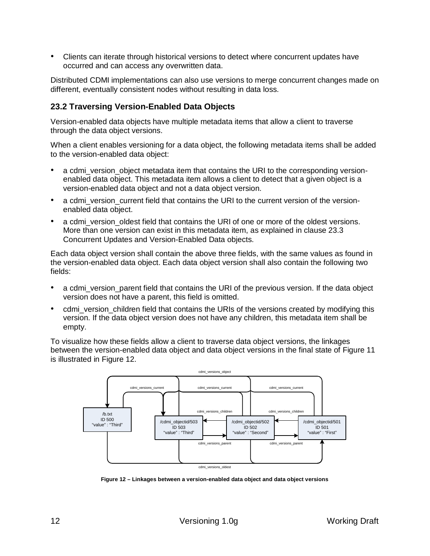• Clients can iterate through historical versions to detect where concurrent updates have occurred and can access any overwritten data.

Distributed CDMI implementations can also use versions to merge concurrent changes made on different, eventually consistent nodes without resulting in data loss.

### **23.2 Traversing Version-Enabled Data Objects**

Version-enabled data objects have multiple metadata items that allow a client to traverse through the data object versions.

When a client enables versioning for a data object, the following metadata items shall be added to the version-enabled data object:

- a cdmi version object metadata item that contains the URI to the corresponding versionenabled data object. This metadata item allows a client to detect that a given object is a version-enabled data object and not a data object version.
- a cdmi\_version\_current field that contains the URI to the current version of the versionenabled data object.
- a cdmi version oldest field that contains the URI of one or more of the oldest versions. More than one version can exist in this metadata item, as explained in clause 23.3 Concurrent Updates and Version-Enabled Data objects.

Each data object version shall contain the above three fields, with the same values as found in the version-enabled data object. Each data object version shall also contain the following two fields:

- a cdmi\_version\_parent field that contains the URI of the previous version. If the data object version does not have a parent, this field is omitted.
- cdmi\_version\_children field that contains the URIs of the versions created by modifying this version. If the data object version does not have any children, this metadata item shall be empty.

To visualize how these fields allow a client to traverse data object versions, the linkages between the version-enabled data object and data object versions in the final state of Figure 11 is illustrated in Figure 12.



**Figure 12 – Linkages between a version-enabled data object and data object versions**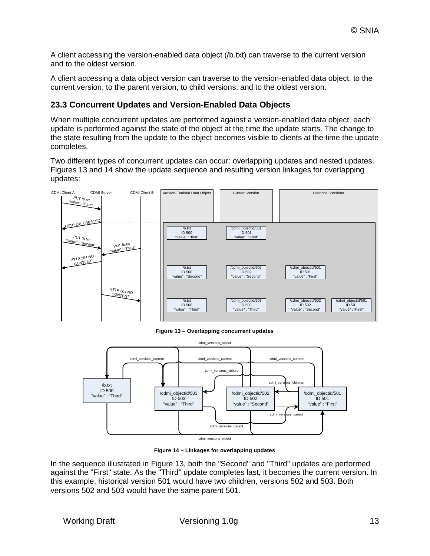A client accessing the version-enabled data object (/b.txt) can traverse to the current version and to the oldest version.

A client accessing a data object version can traverse to the version-enabled data object, to the current version, to the parent version, to child versions, and to the oldest version.

### **23.3 Concurrent Updates and Version-Enabled Data Objects**

When multiple concurrent updates are performed against a version-enabled data object, each update is performed against the state of the object at the time the update starts. The change to the state resulting from the update to the object becomes visible to clients at the time the update completes.

Two different types of concurrent updates can occur: overlapping updates and nested updates. Figures 13 and 14 show the update sequence and resulting version linkages for overlapping updates:



**Figure 13 – Overlapping concurrent updates**



**Figure 14 – Linkages for overlapping updates**

In the sequence illustrated in Figure 13, both the "Second" and "Third" updates are performed against the "First" state. As the "Third" update completes last, it becomes the current version. In this example, historical version 501 would have two children, versions 502 and 503. Both versions 502 and 503 would have the same parent 501.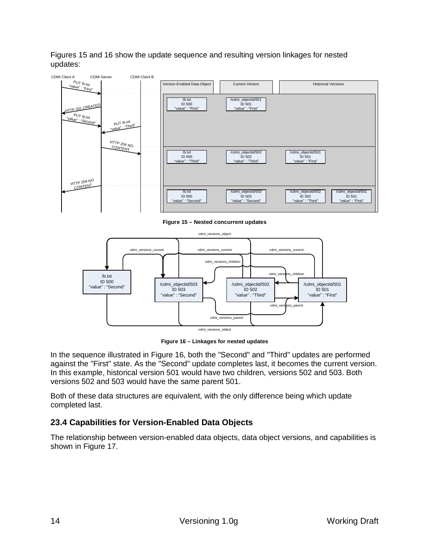Figures 15 and 16 show the update sequence and resulting version linkages for nested updates:







**Figure 16 – Linkages for nested updates**

In the sequence illustrated in Figure 16, both the "Second" and "Third" updates are performed against the "First" state. As the "Second" update completes last, it becomes the current version. In this example, historical version 501 would have two children, versions 502 and 503. Both versions 502 and 503 would have the same parent 501.

Both of these data structures are equivalent, with the only difference being which update completed last.

# **23.4 Capabilities for Version-Enabled Data Objects**

The relationship between version-enabled data objects, data object versions, and capabilities is shown in Figure 17.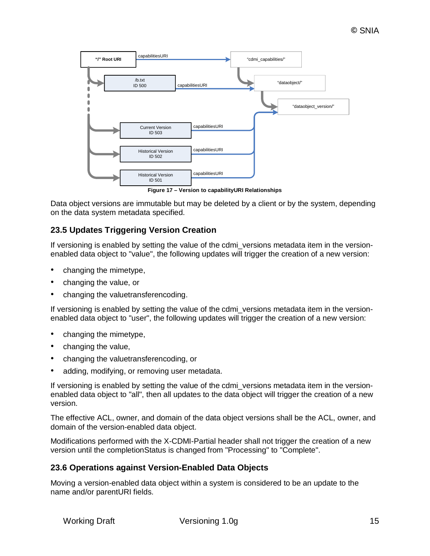

**Figure 17 – Version to capabilityURI Relationships**

Data object versions are immutable but may be deleted by a client or by the system, depending on the data system metadata specified.

### **23.5 Updates Triggering Version Creation**

If versioning is enabled by setting the value of the cdmi versions metadata item in the versionenabled data object to "value", the following updates will trigger the creation of a new version:

- changing the mimetype,
- changing the value, or
- changing the valuetransferencoding.

If versioning is enabled by setting the value of the cdmi versions metadata item in the versionenabled data object to "user", the following updates will trigger the creation of a new version:

- changing the mimetype,
- changing the value,
- changing the valuetransferencoding, or
- adding, modifying, or removing user metadata.

If versioning is enabled by setting the value of the cdmi versions metadata item in the versionenabled data object to "all", then all updates to the data object will trigger the creation of a new version.

The effective ACL, owner, and domain of the data object versions shall be the ACL, owner, and domain of the version-enabled data object.

Modifications performed with the X-CDMI-Partial header shall not trigger the creation of a new version until the completionStatus is changed from "Processing" to "Complete".

#### **23.6 Operations against Version-Enabled Data Objects**

Moving a version-enabled data object within a system is considered to be an update to the name and/or parentURI fields.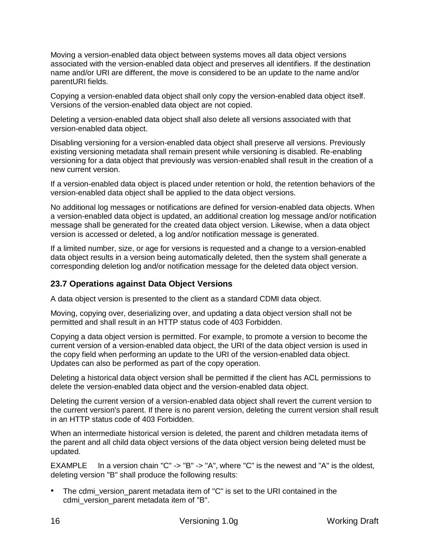Moving a version-enabled data object between systems moves all data object versions associated with the version-enabled data object and preserves all identifiers. If the destination name and/or URI are different, the move is considered to be an update to the name and/or parentURI fields.

Copying a version-enabled data object shall only copy the version-enabled data object itself. Versions of the version-enabled data object are not copied.

Deleting a version-enabled data object shall also delete all versions associated with that version-enabled data object.

Disabling versioning for a version-enabled data object shall preserve all versions. Previously existing versioning metadata shall remain present while versioning is disabled. Re-enabling versioning for a data object that previously was version-enabled shall result in the creation of a new current version.

If a version-enabled data object is placed under retention or hold, the retention behaviors of the version-enabled data object shall be applied to the data object versions.

No additional log messages or notifications are defined for version-enabled data objects. When a version-enabled data object is updated, an additional creation log message and/or notification message shall be generated for the created data object version. Likewise, when a data object version is accessed or deleted, a log and/or notification message is generated.

If a limited number, size, or age for versions is requested and a change to a version-enabled data object results in a version being automatically deleted, then the system shall generate a corresponding deletion log and/or notification message for the deleted data object version.

# **23.7 Operations against Data Object Versions**

A data object version is presented to the client as a standard CDMI data object.

Moving, copying over, deserializing over, and updating a data object version shall not be permitted and shall result in an HTTP status code of 403 Forbidden.

Copying a data object version is permitted. For example, to promote a version to become the current version of a version-enabled data object, the URI of the data object version is used in the copy field when performing an update to the URI of the version-enabled data object. Updates can also be performed as part of the copy operation.

Deleting a historical data object version shall be permitted if the client has ACL permissions to delete the version-enabled data object and the version-enabled data object.

Deleting the current version of a version-enabled data object shall revert the current version to the current version's parent. If there is no parent version, deleting the current version shall result in an HTTP status code of 403 Forbidden.

When an intermediate historical version is deleted, the parent and children metadata items of the parent and all child data object versions of the data object version being deleted must be updated.

EXAMPLE In a version chain "C" -> "B" -> "A", where "C" is the newest and "A" is the oldest, deleting version "B" shall produce the following results:

The cdmi version parent metadata item of "C" is set to the URI contained in the cdmi\_version\_parent metadata item of "B".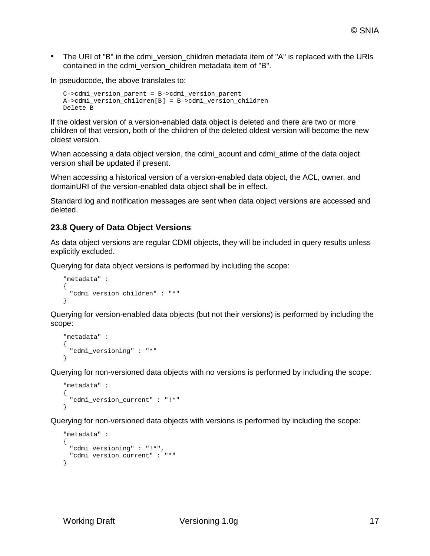• The URI of "B" in the cdmi version children metadata item of "A" is replaced with the URIs contained in the cdmi\_version\_children metadata item of "B".

In pseudocode, the above translates to:

```
C->cdmi_version_parent = B->cdmi_version_parent
A->cdmi_version_children[B] = B->cdmi_version_children
Delete B
```
If the oldest version of a version-enabled data object is deleted and there are two or more children of that version, both of the children of the deleted oldest version will become the new oldest version.

When accessing a data object version, the cdmi\_acount and cdmi\_atime of the data object version shall be updated if present.

When accessing a historical version of a version-enabled data object, the ACL, owner, and domainURI of the version-enabled data object shall be in effect.

Standard log and notification messages are sent when data object versions are accessed and deleted.

#### **23.8 Query of Data Object Versions**

As data object versions are regular CDMI objects, they will be included in query results unless explicitly excluded.

Querying for data object versions is performed by including the scope:

```
"metadata" : 
\{"cdmi_version_children" : "*"
}
```
Querying for version-enabled data objects (but not their versions) is performed by including the scope:

```
"metadata" : 
{
  "cdmi_versioning" : "*"
}
```
Querying for non-versioned data objects with no versions is performed by including the scope:

```
"metadata" : 
{
 "cdmi_version_current" : "!*"
}
```
Querying for non-versioned data objects with versions is performed by including the scope:

```
"metadata" : 
{
 "cdmi_versioning" : "!*",
 "cdmi_version_current" : "*"
}
```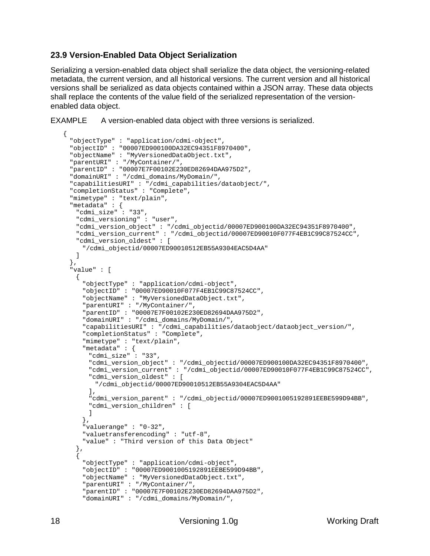# **23.9 Version-Enabled Data Object Serialization**

Serializing a version-enabled data object shall serialize the data object, the versioning-related metadata, the current version, and all historical versions. The current version and all historical versions shall be serialized as data objects contained within a JSON array. These data objects shall replace the contents of the value field of the serialized representation of the versionenabled data object.

```
EXAMPLE A version-enabled data object with three versions is serialized.
```

```
{
 "objectType" : "application/cdmi-object",
 "objectID" : "00007ED900100DA32EC94351F8970400",
 "objectName" : "MyVersionedDataObject.txt",
 "parentURI" : "/MyContainer/",
 "parentID" : "00007E7F00102E230ED82694DAA975D2", 
 "domainURI" : "/cdmi_domains/MyDomain/", 
 "capabilitiesURI" : "/cdmi_capabilities/dataobject/", 
 "completionStatus" : "Complete", 
 "mimetype" : "text/plain", 
 "metadata" : {
   "cdmi_size" : "33",
   "cdmi_versioning" : "user",
   "cdmi_version_object" : "/cdmi_objectid/00007ED900100DA32EC94351F8970400",
   "cdmi_version_current" : "/cdmi_objectid/00007ED90010F077F4EB1C99C87524CC",
   "cdmi_version_oldest" : [
     "/cdmi_objectid/00007ED90010512EB55A9304EAC5D4AA"
   ]
 },
 "value" : [
   {
    "objectType" : "application/cdmi-object",
     "objectID" : "00007ED90010F077F4EB1C99C87524CC",
     "objectName" : "MyVersionedDataObject.txt",
     "parentURI" : "/MyContainer/",
     "parentID" : "00007E7F00102E230ED82694DAA975D2", 
     "domainURI" : "/cdmi_domains/MyDomain/", 
     "capabilitiesURI" : "/cdmi_capabilities/dataobject/dataobject_version/", 
     "completionStatus" : "Complete", 
     "mimetype" : "text/plain", 
     "metadata" : {
      "cdmi_size" : "33",
      "cdmi_version_object" : "/cdmi_objectid/00007ED900100DA32EC94351F8970400",
      "cdmi_version_current" : "/cdmi_objectid/00007ED90010F077F4EB1C99C87524CC",
      "cdmi_version_oldest" : [
        "/cdmi_objectid/00007ED90010512EB55A9304EAC5D4AA"
      ],
      "cdmi_version_parent" : "/cdmi_objectid/00007ED9001005192891EEBE599D94BB",
      "cdmi_version_children" : [
      ]
     },
     "valuerange" : "0-32", 
     "valuetransferencoding" : "utf-8", 
     "value" : "Third version of this Data Object"
   },
   {
     "objectType" : "application/cdmi-object",
     "objectID" : "00007ED9001005192891EEBE599D94BB",
     "objectName" : "MyVersionedDataObject.txt",
     "parentURI" : "/MyContainer/",
     "parentID" : "00007E7F00102E230ED82694DAA975D2", 
     "domainURI" : "/cdmi_domains/MyDomain/",
```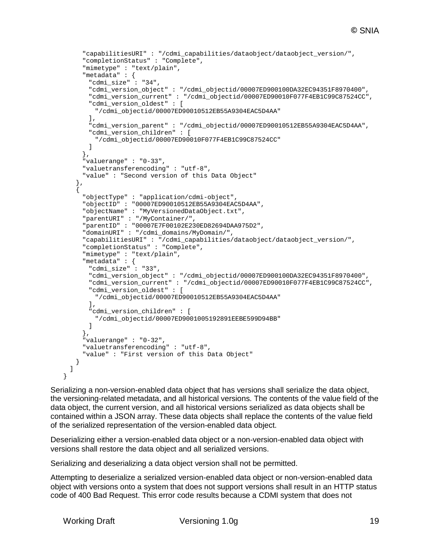```
"capabilitiesURI" : "/cdmi_capabilities/dataobject/dataobject_version/", 
   "completionStatus" : "Complete", 
   "mimetype" : "text/plain", 
   "metadata" : {
     "cdmi_size" : "34",
     "cdmi_version_object" : "/cdmi_objectid/00007ED900100DA32EC94351F8970400",
     "cdmi_version_current" : "/cdmi_objectid/00007ED90010F077F4EB1C99C87524CC",
     "cdmi_version_oldest" : [
       "/cdmi_objectid/00007ED90010512EB55A9304EAC5D4AA"
     ],
     "cdmi_version_parent" : "/cdmi_objectid/00007ED90010512EB55A9304EAC5D4AA",
     "cdmi_version_children" : [
       "/cdmi_objectid/00007ED90010F077F4EB1C99C87524CC"
     ]
   },
   "valuerange" : "0-33", 
   "valuetransferencoding" : "utf-8", 
   "value" : "Second version of this Data Object"
  },
  {
   "objectType" : "application/cdmi-object",
   "objectID" : "00007ED90010512EB55A9304EAC5D4AA",
   "objectName" : "MyVersionedDataObject.txt",
    "parentURI" : "/MyContainer/",
    "parentID" : "00007E7F00102E230ED82694DAA975D2", 
   "domainURI" : "/cdmi_domains/MyDomain/", 
    "capabilitiesURI" : "/cdmi_capabilities/dataobject/dataobject_version/", 
    "completionStatus" : "Complete", 
    "mimetype" : "text/plain", 
   "metadata" : {
     "cdmi_size" : "33",
     "cdmi_version_object" : "/cdmi_objectid/00007ED900100DA32EC94351F8970400",
     "cdmi_version_current" : "/cdmi_objectid/00007ED90010F077F4EB1C99C87524CC",
     "cdmi_version_oldest" : [
       "/cdmi_objectid/00007ED90010512EB55A9304EAC5D4AA"
     ],
     "cdmi_version_children" : [
       "/cdmi_objectid/00007ED9001005192891EEBE599D94BB"
     ]
   },
    "valuerange" : "0-32", 
   "valuetransferencoding" : "utf-8", 
   "value" : "First version of this Data Object"
 }
]
```
Serializing a non-version-enabled data object that has versions shall serialize the data object, the versioning-related metadata, and all historical versions. The contents of the value field of the data object, the current version, and all historical versions serialized as data objects shall be contained within a JSON array. These data objects shall replace the contents of the value field of the serialized representation of the version-enabled data object.

Deserializing either a version-enabled data object or a non-version-enabled data object with versions shall restore the data object and all serialized versions.

Serializing and deserializing a data object version shall not be permitted.

Attempting to deserialize a serialized version-enabled data object or non-version-enabled data object with versions onto a system that does not support versions shall result in an HTTP status code of 400 Bad Request. This error code results because a CDMI system that does not

}